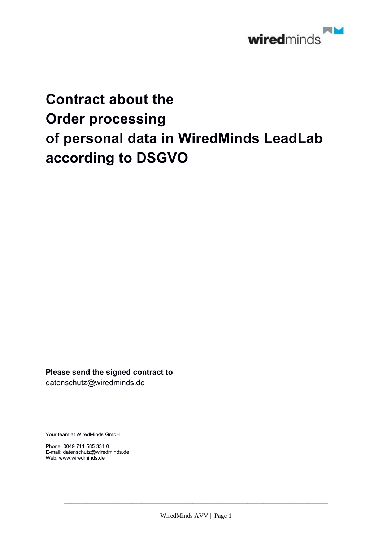

# **Contract about the Order processing of personal data in WiredMinds LeadLab according to DSGVO**

**Please send the signed contract to** 

datenschutz@wiredminds.de

Your team at WiredMinds GmbH

Phone: 0049 711 585 331 0 E-mail: datenschutz@wiredminds.de Web: www.wiredminds.de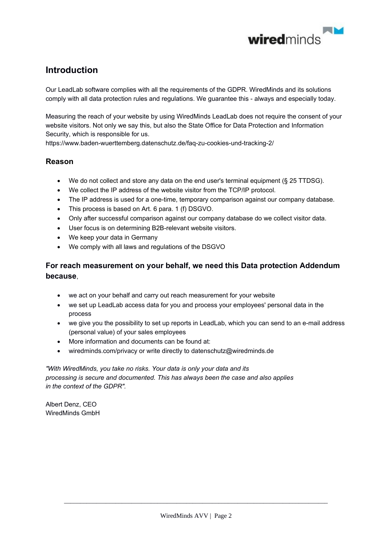

# **Introduction**

Our LeadLab software complies with all the requirements of the GDPR. WiredMinds and its solutions comply with all data protection rules and regulations. We guarantee this - always and especially today.

Measuring the reach of your website by using WiredMinds LeadLab does not require the consent of your website visitors. Not only we say this, but also the State Office for Data Protection and Information Security, which is responsible for us.

https://www.baden-wuerttemberg.datenschutz.de/faq-zu-cookies-und-tracking-2/

#### **Reason**

- We do not collect and store any data on the end user's terminal equipment (§ 25 TTDSG).
- We collect the IP address of the website visitor from the TCP/IP protocol.
- The IP address is used for a one-time, temporary comparison against our company database.
- This process is based on Art. 6 para. 1 (f) DSGVO.
- Only after successful comparison against our company database do we collect visitor data.
- User focus is on determining B2B-relevant website visitors.
- We keep your data in Germany
- We comply with all laws and regulations of the DSGVO

### **For reach measurement on your behalf, we need this Data protection Addendum because**,

- we act on your behalf and carry out reach measurement for your website
- we set up LeadLab access data for you and process your employees' personal data in the process
- we give you the possibility to set up reports in LeadLab, which you can send to an e-mail address (personal value) of your sales employees
- More information and documents can be found at:
- wiredminds.com/privacy or write directly to datenschutz@wiredminds.de

#### *"With WiredMinds, you take no risks. Your data is only your data and its processing is secure and documented. This has always been the case and also applies in the context of the GDPR".*

Albert Denz, CEO WiredMinds GmbH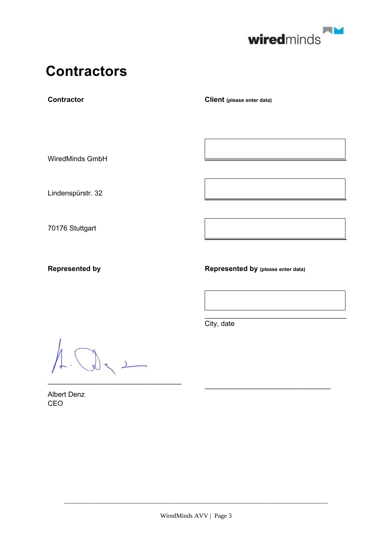

# **Contractors**

**Contractor Contractor Client Client** *Client Client Client Client Client Client Client Client Client Client Client Client Client Client Client Client*

WiredMinds GmbH

Lindenspürstr. 32

70176 Stuttgart

**Represented by Represented by (please enter data)**

 $\overline{\phantom{a}}$  , where  $\overline{\phantom{a}}$  , where  $\overline{\phantom{a}}$  ,  $\overline{\phantom{a}}$  ,  $\overline{\phantom{a}}$  ,  $\overline{\phantom{a}}$  ,  $\overline{\phantom{a}}$  ,  $\overline{\phantom{a}}$  ,  $\overline{\phantom{a}}$  ,  $\overline{\phantom{a}}$  ,  $\overline{\phantom{a}}$  ,  $\overline{\phantom{a}}$  ,  $\overline{\phantom{a}}$  ,  $\overline{\phantom{a}}$  ,  $\overline{\phantom{a}}$  ,

City, date

Albert Denz CEO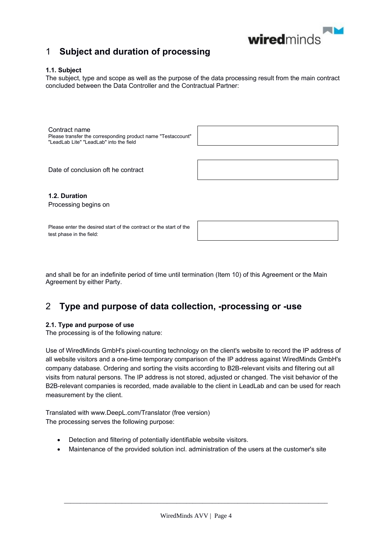

# 1 **Subject and duration of processing**

#### **1.1. Subject**

The subject, type and scope as well as the purpose of the data processing result from the main contract concluded between the Data Controller and the Contractual Partner:

Contract name Please transfer the corresponding product name "Testaccount" "LeadLab Lite" "LeadLab" into the field

Date of conclusion oft he contract

**1.2. Duration** Processing begins on

Please enter the desired start of the contract or the start of the test phase in the field:

and shall be for an indefinite period of time until termination (Item 10) of this Agreement or the Main Agreement by either Party.

# 2 **Type and purpose of data collection, -processing or -use**

#### **2.1. Type and purpose of use**

The processing is of the following nature:

Use of WiredMinds GmbH's pixel-counting technology on the client's website to record the IP address of all website visitors and a one-time temporary comparison of the IP address against WiredMinds GmbH's company database. Ordering and sorting the visits according to B2B-relevant visits and filtering out all visits from natural persons. The IP address is not stored, adjusted or changed. The visit behavior of the B2B-relevant companies is recorded, made available to the client in LeadLab and can be used for reach measurement by the client.

Translated with www.DeepL.com/Translator (free version) The processing serves the following purpose:

- Detection and filtering of potentially identifiable website visitors.
- Maintenance of the provided solution incl. administration of the users at the customer's site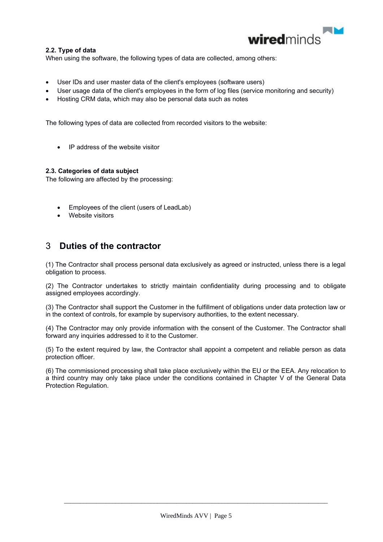

#### **2.2. Type of data**

When using the software, the following types of data are collected, among others:

- User IDs and user master data of the client's employees (software users)
- User usage data of the client's employees in the form of log files (service monitoring and security)
- Hosting CRM data, which may also be personal data such as notes

The following types of data are collected from recorded visitors to the website:

• IP address of the website visitor

#### **2.3. Categories of data subject**

The following are affected by the processing:

- Employees of the client (users of LeadLab)
- Website visitors

### 3 **Duties of the contractor**

(1) The Contractor shall process personal data exclusively as agreed or instructed, unless there is a legal obligation to process.

(2) The Contractor undertakes to strictly maintain confidentiality during processing and to obligate assigned employees accordingly.

(3) The Contractor shall support the Customer in the fulfillment of obligations under data protection law or in the context of controls, for example by supervisory authorities, to the extent necessary.

(4) The Contractor may only provide information with the consent of the Customer. The Contractor shall forward any inquiries addressed to it to the Customer.

(5) To the extent required by law, the Contractor shall appoint a competent and reliable person as data protection officer.

(6) The commissioned processing shall take place exclusively within the EU or the EEA. Any relocation to a third country may only take place under the conditions contained in Chapter V of the General Data Protection Regulation.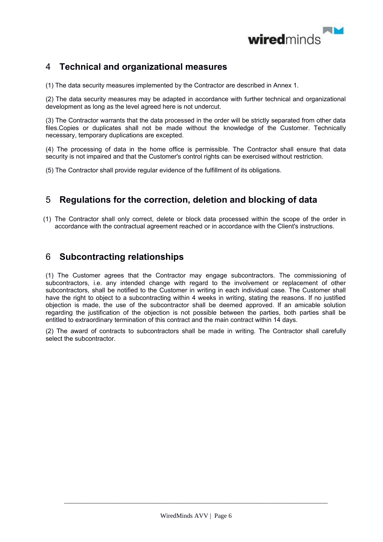

### 4 **Technical and organizational measures**

(1) The data security measures implemented by the Contractor are described in Annex 1.

(2) The data security measures may be adapted in accordance with further technical and organizational development as long as the level agreed here is not undercut.

(3) The Contractor warrants that the data processed in the order will be strictly separated from other data files.Copies or duplicates shall not be made without the knowledge of the Customer. Technically necessary, temporary duplications are excepted.

(4) The processing of data in the home office is permissible. The Contractor shall ensure that data security is not impaired and that the Customer's control rights can be exercised without restriction.

(5) The Contractor shall provide regular evidence of the fulfillment of its obligations.

# 5 **Regulations for the correction, deletion and blocking of data**

(1) The Contractor shall only correct, delete or block data processed within the scope of the order in accordance with the contractual agreement reached or in accordance with the Client's instructions.

### 6 **Subcontracting relationships**

(1) The Customer agrees that the Contractor may engage subcontractors. The commissioning of subcontractors, i.e. any intended change with regard to the involvement or replacement of other subcontractors, shall be notified to the Customer in writing in each individual case. The Customer shall have the right to object to a subcontracting within 4 weeks in writing, stating the reasons. If no justified objection is made, the use of the subcontractor shall be deemed approved. If an amicable solution regarding the justification of the objection is not possible between the parties, both parties shall be entitled to extraordinary termination of this contract and the main contract within 14 days.

(2) The award of contracts to subcontractors shall be made in writing. The Contractor shall carefully select the subcontractor.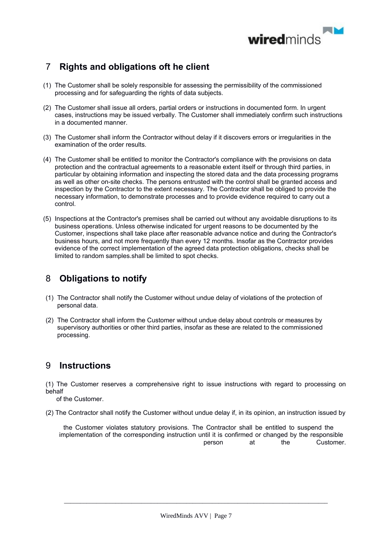

# 7 **Rights and obligations oft he client**

- (1) The Customer shall be solely responsible for assessing the permissibility of the commissioned processing and for safeguarding the rights of data subjects.
- (2) The Customer shall issue all orders, partial orders or instructions in documented form. In urgent cases, instructions may be issued verbally. The Customer shall immediately confirm such instructions in a documented manner.
- (3) The Customer shall inform the Contractor without delay if it discovers errors or irregularities in the examination of the order results.
- (4) The Customer shall be entitled to monitor the Contractor's compliance with the provisions on data protection and the contractual agreements to a reasonable extent itself or through third parties, in particular by obtaining information and inspecting the stored data and the data processing programs as well as other on-site checks. The persons entrusted with the control shall be granted access and inspection by the Contractor to the extent necessary. The Contractor shall be obliged to provide the necessary information, to demonstrate processes and to provide evidence required to carry out a control.
- (5) Inspections at the Contractor's premises shall be carried out without any avoidable disruptions to its business operations. Unless otherwise indicated for urgent reasons to be documented by the Customer, inspections shall take place after reasonable advance notice and during the Contractor's business hours, and not more frequently than every 12 months. Insofar as the Contractor provides evidence of the correct implementation of the agreed data protection obligations, checks shall be limited to random samples.shall be limited to spot checks.

# 8 **Obligations to notify**

- (1) The Contractor shall notify the Customer without undue delay of violations of the protection of personal data.
- (2) The Contractor shall inform the Customer without undue delay about controls or measures by supervisory authorities or other third parties, insofar as these are related to the commissioned processing.

### 9 **Instructions**

(1) The Customer reserves a comprehensive right to issue instructions with regard to processing on behalf

of the Customer.

(2) The Contractor shall notify the Customer without undue delay if, in its opinion, an instruction issued by

 the Customer violates statutory provisions. The Contractor shall be entitled to suspend the implementation of the corresponding instruction until it is confirmed or changed by the responsible person at the Customer. The contract of the contract  $\rho$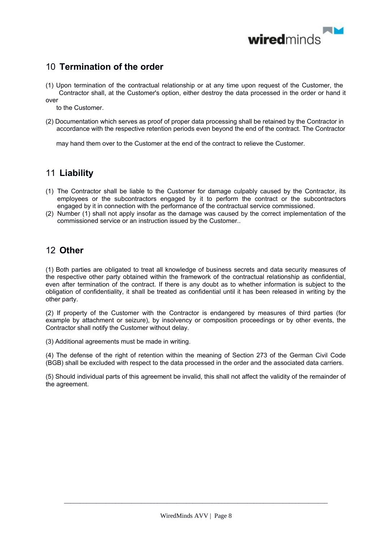

### 10 **Termination of the order**

(1) Upon termination of the contractual relationship or at any time upon request of the Customer, the Contractor shall, at the Customer's option, either destroy the data processed in the order or hand it

over the contract of the contract of the contract of the contract of the contract of the contract of the contract of the contract of the contract of the contract of the contract of the contract of the contract of the contr

to the Customer.

(2) Documentation which serves as proof of proper data processing shall be retained by the Contractor in accordance with the respective retention periods even beyond the end of the contract. The Contractor

may hand them over to the Customer at the end of the contract to relieve the Customer.

### 11 **Liability**

- (1) The Contractor shall be liable to the Customer for damage culpably caused by the Contractor, its employees or the subcontractors engaged by it to perform the contract or the subcontractors engaged by it in connection with the performance of the contractual service commissioned.
- (2) Number (1) shall not apply insofar as the damage was caused by the correct implementation of the commissioned service or an instruction issued by the Customer..

### 12 **Other**

(1) Both parties are obligated to treat all knowledge of business secrets and data security measures of the respective other party obtained within the framework of the contractual relationship as confidential, even after termination of the contract. If there is any doubt as to whether information is subject to the obligation of confidentiality, it shall be treated as confidential until it has been released in writing by the other party.

(2) If property of the Customer with the Contractor is endangered by measures of third parties (for example by attachment or seizure), by insolvency or composition proceedings or by other events, the Contractor shall notify the Customer without delay.

(3) Additional agreements must be made in writing.

(4) The defense of the right of retention within the meaning of Section 273 of the German Civil Code (BGB) shall be excluded with respect to the data processed in the order and the associated data carriers.

(5) Should individual parts of this agreement be invalid, this shall not affect the validity of the remainder of the agreement.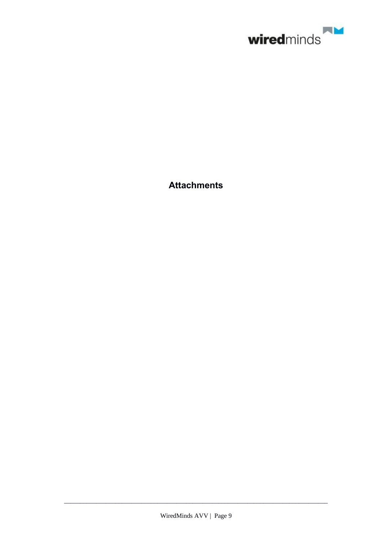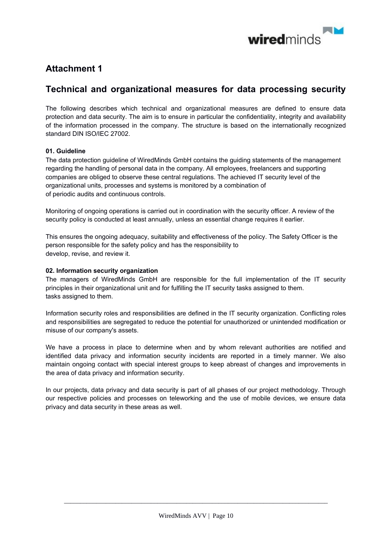

### **Technical and organizational measures for data processing security**

The following describes which technical and organizational measures are defined to ensure data protection and data security. The aim is to ensure in particular the confidentiality, integrity and availability of the information processed in the company. The structure is based on the internationally recognized standard DIN ISO/IEC 27002.

#### **01. Guideline**

The data protection guideline of WiredMinds GmbH contains the guiding statements of the management regarding the handling of personal data in the company. All employees, freelancers and supporting companies are obliged to observe these central regulations. The achieved IT security level of the organizational units, processes and systems is monitored by a combination of of periodic audits and continuous controls.

Monitoring of ongoing operations is carried out in coordination with the security officer. A review of the security policy is conducted at least annually, unless an essential change requires it earlier.

This ensures the ongoing adequacy, suitability and effectiveness of the policy. The Safety Officer is the person responsible for the safety policy and has the responsibility to develop, revise, and review it.

#### **02. Information security organization**

The managers of WiredMinds GmbH are responsible for the full implementation of the IT security principles in their organizational unit and for fulfilling the IT security tasks assigned to them. tasks assigned to them.

Information security roles and responsibilities are defined in the IT security organization. Conflicting roles and responsibilities are segregated to reduce the potential for unauthorized or unintended modification or misuse of our company's assets.

We have a process in place to determine when and by whom relevant authorities are notified and identified data privacy and information security incidents are reported in a timely manner. We also maintain ongoing contact with special interest groups to keep abreast of changes and improvements in the area of data privacy and information security.

In our projects, data privacy and data security is part of all phases of our project methodology. Through our respective policies and processes on teleworking and the use of mobile devices, we ensure data privacy and data security in these areas as well.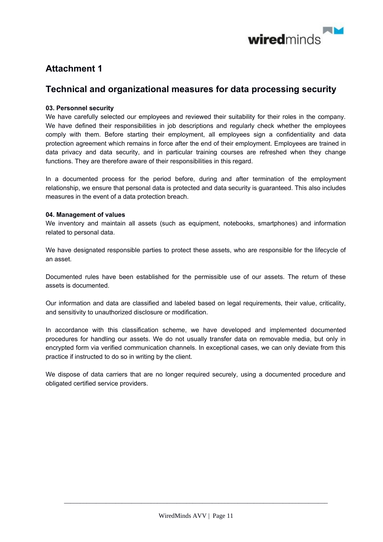

### **Technical and organizational measures for data processing security**

#### **03. Personnel security**

We have carefully selected our employees and reviewed their suitability for their roles in the company. We have defined their responsibilities in job descriptions and regularly check whether the employees comply with them. Before starting their employment, all employees sign a confidentiality and data protection agreement which remains in force after the end of their employment. Employees are trained in data privacy and data security, and in particular training courses are refreshed when they change functions. They are therefore aware of their responsibilities in this regard.

In a documented process for the period before, during and after termination of the employment relationship, we ensure that personal data is protected and data security is guaranteed. This also includes measures in the event of a data protection breach.

#### **04. Management of values**

We inventory and maintain all assets (such as equipment, notebooks, smartphones) and information related to personal data.

We have designated responsible parties to protect these assets, who are responsible for the lifecycle of an asset.

Documented rules have been established for the permissible use of our assets. The return of these assets is documented.

Our information and data are classified and labeled based on legal requirements, their value, criticality, and sensitivity to unauthorized disclosure or modification.

In accordance with this classification scheme, we have developed and implemented documented procedures for handling our assets. We do not usually transfer data on removable media, but only in encrypted form via verified communication channels. In exceptional cases, we can only deviate from this practice if instructed to do so in writing by the client.

We dispose of data carriers that are no longer required securely, using a documented procedure and obligated certified service providers.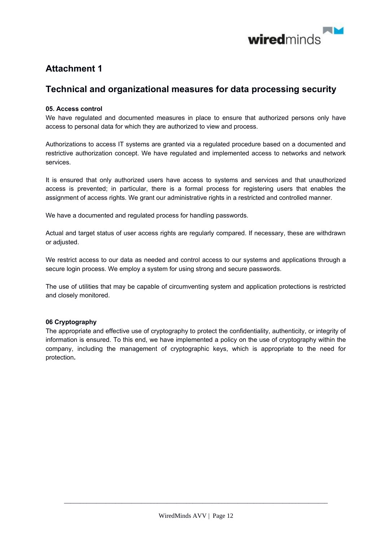

### **Technical and organizational measures for data processing security**

#### **05. Access control**

We have regulated and documented measures in place to ensure that authorized persons only have access to personal data for which they are authorized to view and process.

Authorizations to access IT systems are granted via a regulated procedure based on a documented and restrictive authorization concept. We have regulated and implemented access to networks and network services.

It is ensured that only authorized users have access to systems and services and that unauthorized access is prevented; in particular, there is a formal process for registering users that enables the assignment of access rights. We grant our administrative rights in a restricted and controlled manner.

We have a documented and regulated process for handling passwords.

Actual and target status of user access rights are regularly compared. If necessary, these are withdrawn or adjusted.

We restrict access to our data as needed and control access to our systems and applications through a secure login process. We employ a system for using strong and secure passwords.

The use of utilities that may be capable of circumventing system and application protections is restricted and closely monitored.

#### **06 Cryptography**

The appropriate and effective use of cryptography to protect the confidentiality, authenticity, or integrity of information is ensured. To this end, we have implemented a policy on the use of cryptography within the company, including the management of cryptographic keys, which is appropriate to the need for protection**.**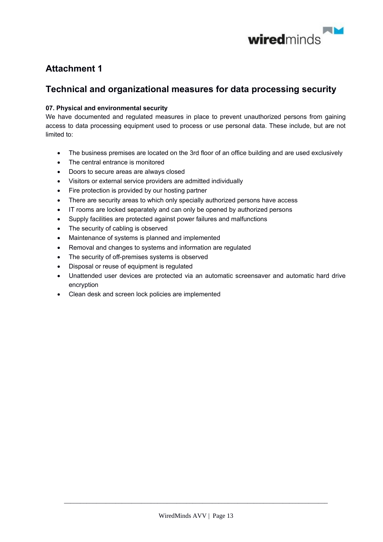

# **Technical and organizational measures for data processing security**

#### **07. Physical and environmental security**

We have documented and regulated measures in place to prevent unauthorized persons from gaining access to data processing equipment used to process or use personal data. These include, but are not limited to:

- The business premises are located on the 3rd floor of an office building and are used exclusively
- The central entrance is monitored
- Doors to secure areas are always closed
- Visitors or external service providers are admitted individually
- Fire protection is provided by our hosting partner
- There are security areas to which only specially authorized persons have access
- IT rooms are locked separately and can only be opened by authorized persons
- Supply facilities are protected against power failures and malfunctions
- The security of cabling is observed
- Maintenance of systems is planned and implemented
- Removal and changes to systems and information are regulated
- The security of off-premises systems is observed
- Disposal or reuse of equipment is regulated
- Unattended user devices are protected via an automatic screensaver and automatic hard drive encryption
- Clean desk and screen lock policies are implemented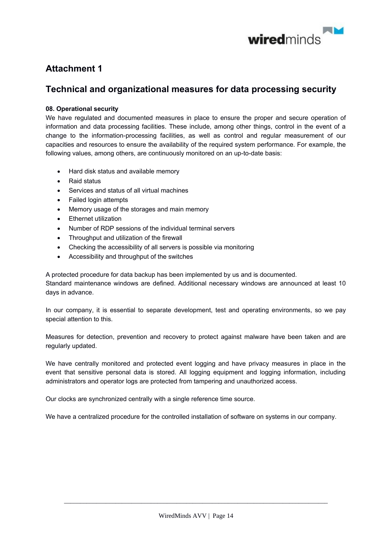

# **Technical and organizational measures for data processing security**

#### **08. Operational security**

We have regulated and documented measures in place to ensure the proper and secure operation of information and data processing facilities. These include, among other things, control in the event of a change to the information-processing facilities, as well as control and regular measurement of our capacities and resources to ensure the availability of the required system performance. For example, the following values, among others, are continuously monitored on an up-to-date basis:

- Hard disk status and available memory
- Raid status
- Services and status of all virtual machines
- Failed login attempts
- Memory usage of the storages and main memory
- **•** Ethernet utilization
- Number of RDP sessions of the individual terminal servers
- Throughput and utilization of the firewall
- Checking the accessibility of all servers is possible via monitoring
- Accessibility and throughput of the switches

A protected procedure for data backup has been implemented by us and is documented. Standard maintenance windows are defined. Additional necessary windows are announced at least 10 days in advance.

In our company, it is essential to separate development, test and operating environments, so we pay special attention to this.

Measures for detection, prevention and recovery to protect against malware have been taken and are regularly updated.

We have centrally monitored and protected event logging and have privacy measures in place in the event that sensitive personal data is stored. All logging equipment and logging information, including administrators and operator logs are protected from tampering and unauthorized access.

Our clocks are synchronized centrally with a single reference time source.

We have a centralized procedure for the controlled installation of software on systems in our company.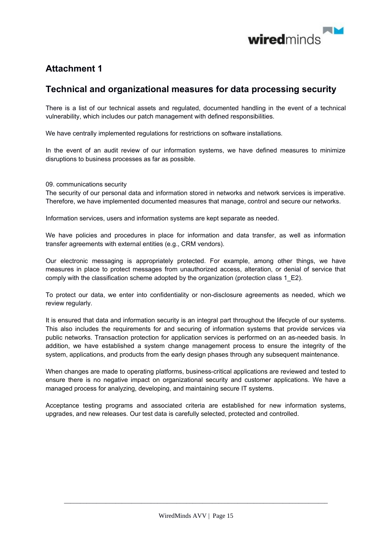

### **Technical and organizational measures for data processing security**

There is a list of our technical assets and regulated, documented handling in the event of a technical vulnerability, which includes our patch management with defined responsibilities.

We have centrally implemented regulations for restrictions on software installations.

In the event of an audit review of our information systems, we have defined measures to minimize disruptions to business processes as far as possible.

#### 09. communications security

The security of our personal data and information stored in networks and network services is imperative. Therefore, we have implemented documented measures that manage, control and secure our networks.

Information services, users and information systems are kept separate as needed.

We have policies and procedures in place for information and data transfer, as well as information transfer agreements with external entities (e.g., CRM vendors).

Our electronic messaging is appropriately protected. For example, among other things, we have measures in place to protect messages from unauthorized access, alteration, or denial of service that comply with the classification scheme adopted by the organization (protection class 1\_E2).

To protect our data, we enter into confidentiality or non-disclosure agreements as needed, which we review regularly.

It is ensured that data and information security is an integral part throughout the lifecycle of our systems. This also includes the requirements for and securing of information systems that provide services via public networks. Transaction protection for application services is performed on an as-needed basis. In addition, we have established a system change management process to ensure the integrity of the system, applications, and products from the early design phases through any subsequent maintenance.

When changes are made to operating platforms, business-critical applications are reviewed and tested to ensure there is no negative impact on organizational security and customer applications. We have a managed process for analyzing, developing, and maintaining secure IT systems.

Acceptance testing programs and associated criteria are established for new information systems, upgrades, and new releases. Our test data is carefully selected, protected and controlled.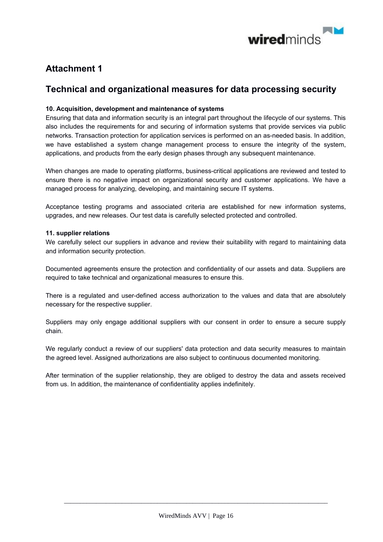

### **Technical and organizational measures for data processing security**

#### **10. Acquisition, development and maintenance of systems**

Ensuring that data and information security is an integral part throughout the lifecycle of our systems. This also includes the requirements for and securing of information systems that provide services via public networks. Transaction protection for application services is performed on an as-needed basis. In addition, we have established a system change management process to ensure the integrity of the system, applications, and products from the early design phases through any subsequent maintenance.

When changes are made to operating platforms, business-critical applications are reviewed and tested to ensure there is no negative impact on organizational security and customer applications. We have a managed process for analyzing, developing, and maintaining secure IT systems.

Acceptance testing programs and associated criteria are established for new information systems, upgrades, and new releases. Our test data is carefully selected protected and controlled.

#### **11. supplier relations**

We carefully select our suppliers in advance and review their suitability with regard to maintaining data and information security protection.

Documented agreements ensure the protection and confidentiality of our assets and data. Suppliers are required to take technical and organizational measures to ensure this.

There is a regulated and user-defined access authorization to the values and data that are absolutely necessary for the respective supplier.

Suppliers may only engage additional suppliers with our consent in order to ensure a secure supply chain.

We regularly conduct a review of our suppliers' data protection and data security measures to maintain the agreed level. Assigned authorizations are also subject to continuous documented monitoring.

After termination of the supplier relationship, they are obliged to destroy the data and assets received from us. In addition, the maintenance of confidentiality applies indefinitely.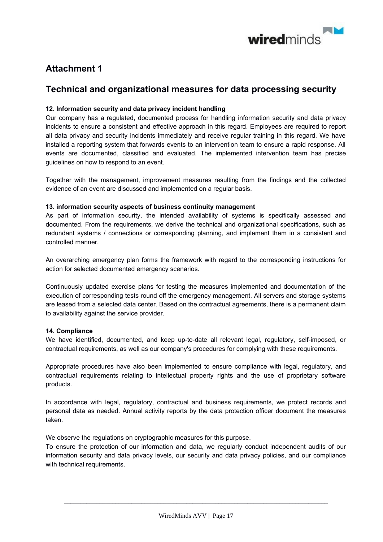

### **Technical and organizational measures for data processing security**

#### **12. Information security and data privacy incident handling**

Our company has a regulated, documented process for handling information security and data privacy incidents to ensure a consistent and effective approach in this regard. Employees are required to report all data privacy and security incidents immediately and receive regular training in this regard. We have installed a reporting system that forwards events to an intervention team to ensure a rapid response. All events are documented, classified and evaluated. The implemented intervention team has precise guidelines on how to respond to an event.

Together with the management, improvement measures resulting from the findings and the collected evidence of an event are discussed and implemented on a regular basis.

#### **13. information security aspects of business continuity management**

As part of information security, the intended availability of systems is specifically assessed and documented. From the requirements, we derive the technical and organizational specifications, such as redundant systems / connections or corresponding planning, and implement them in a consistent and controlled manner.

An overarching emergency plan forms the framework with regard to the corresponding instructions for action for selected documented emergency scenarios.

Continuously updated exercise plans for testing the measures implemented and documentation of the execution of corresponding tests round off the emergency management. All servers and storage systems are leased from a selected data center. Based on the contractual agreements, there is a permanent claim to availability against the service provider.

#### **14. Compliance**

We have identified, documented, and keep up-to-date all relevant legal, regulatory, self-imposed, or contractual requirements, as well as our company's procedures for complying with these requirements.

Appropriate procedures have also been implemented to ensure compliance with legal, regulatory, and contractual requirements relating to intellectual property rights and the use of proprietary software products.

In accordance with legal, regulatory, contractual and business requirements, we protect records and personal data as needed. Annual activity reports by the data protection officer document the measures taken.

We observe the regulations on cryptographic measures for this purpose.

To ensure the protection of our information and data, we regularly conduct independent audits of our information security and data privacy levels, our security and data privacy policies, and our compliance with technical requirements.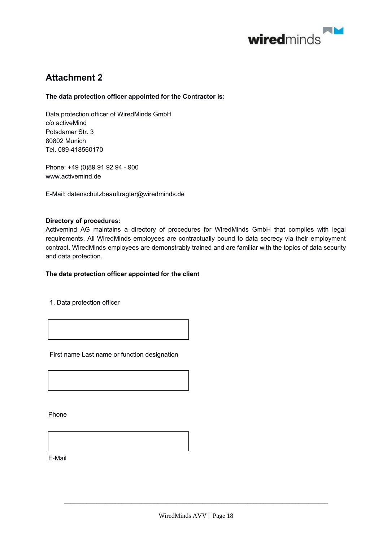

#### **The data protection officer appointed for the Contractor is:**

Data protection officer of WiredMinds GmbH c/o activeMind Potsdamer Str. 3 80802 Munich Tel. 089-418560170

Phone: +49 (0)89 91 92 94 - 900 www.activemind.de

E-Mail: datenschutzbeauftragter@wiredminds.de

#### **Directory of procedures:**

Activemind AG maintains a directory of procedures for WiredMinds GmbH that complies with legal requirements. All WiredMinds employees are contractually bound to data secrecy via their employment contract. WiredMinds employees are demonstrably trained and are familiar with the topics of data security and data protection.

#### **The data protection officer appointed for the client**

1. Data protection officer

First name Last name or function designation

Phone

E-Mail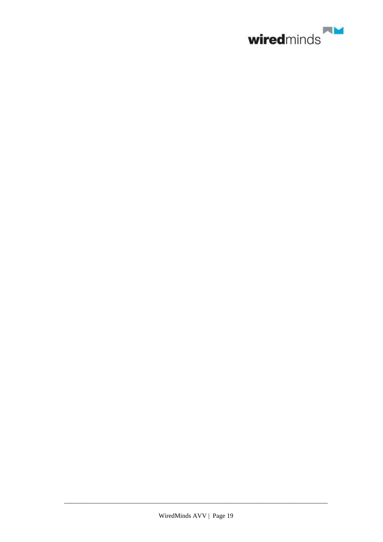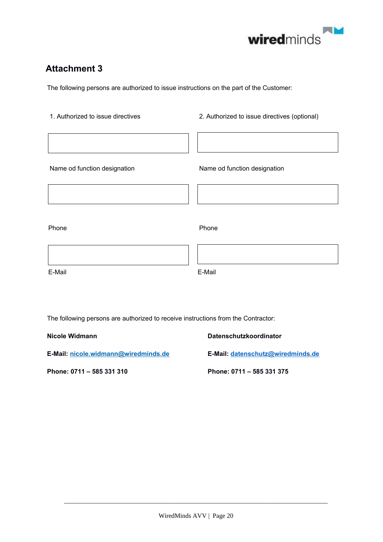

The following persons are authorized to issue instructions on the part of the Customer:

1. Authorized to issue directives 2. Authorized to issue directives (optional) Name od function designation Name od function designation Phone **Phone** Phone E-Mail E-Mail

The following persons are authorized to receive instructions from the Contractor:

**Nicole Widmann Datenschutzkoordinator**

**E-Mail: [nicole.widmann@wiredminds.de](mailto:nicole.widmann@wiredminds.de) E-Mail: [datenschutz@wiredminds.de](mailto:datenschutz@wiredminds.de)**

**Phone: 0711 – 585 331 310 Phone: 0711 – 585 331 375**